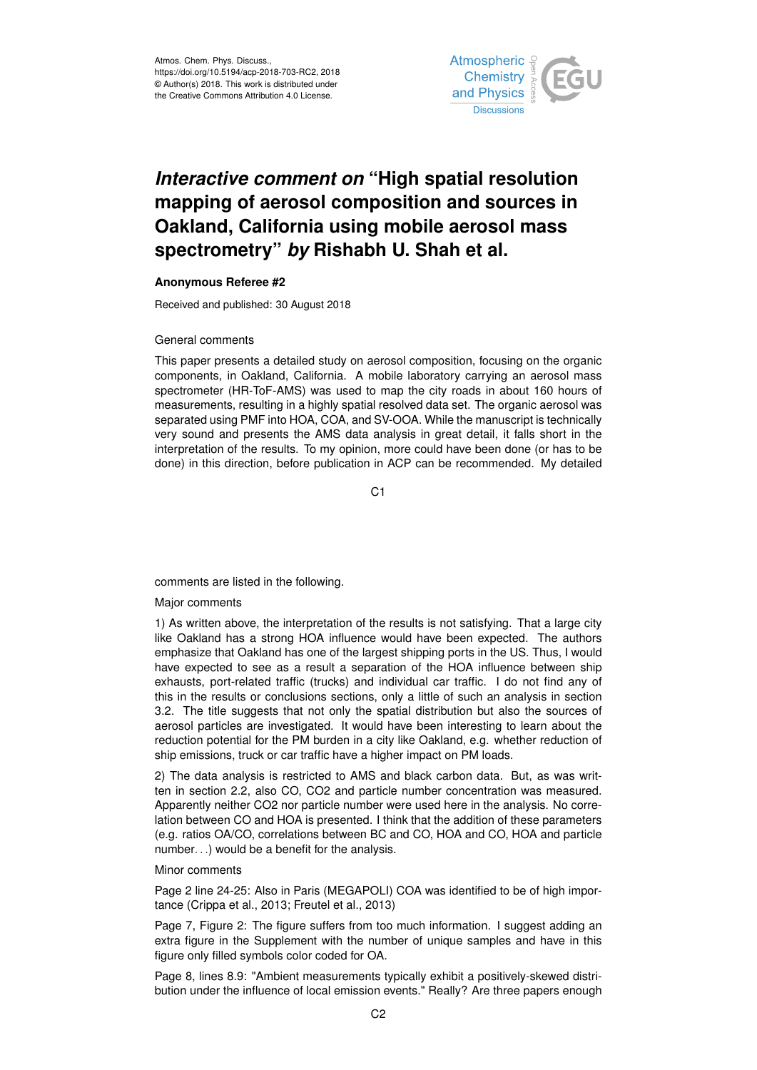

# *Interactive comment on* **"High spatial resolution mapping of aerosol composition and sources in Oakland, California using mobile aerosol mass spectrometry"** *by* **Rishabh U. Shah et al.**

## **Anonymous Referee #2**

Received and published: 30 August 2018

#### General comments

This paper presents a detailed study on aerosol composition, focusing on the organic components, in Oakland, California. A mobile laboratory carrying an aerosol mass spectrometer (HR-ToF-AMS) was used to map the city roads in about 160 hours of measurements, resulting in a highly spatial resolved data set. The organic aerosol was separated using PMF into HOA, COA, and SV-OOA. While the manuscript is technically very sound and presents the AMS data analysis in great detail, it falls short in the interpretation of the results. To my opinion, more could have been done (or has to be done) in this direction, before publication in ACP can be recommended. My detailed

 $C<sub>1</sub>$ 

comments are listed in the following.

### Major comments

1) As written above, the interpretation of the results is not satisfying. That a large city like Oakland has a strong HOA influence would have been expected. The authors emphasize that Oakland has one of the largest shipping ports in the US. Thus, I would have expected to see as a result a separation of the HOA influence between ship exhausts, port-related traffic (trucks) and individual car traffic. I do not find any of this in the results or conclusions sections, only a little of such an analysis in section 3.2. The title suggests that not only the spatial distribution but also the sources of aerosol particles are investigated. It would have been interesting to learn about the reduction potential for the PM burden in a city like Oakland, e.g. whether reduction of ship emissions, truck or car traffic have a higher impact on PM loads.

2) The data analysis is restricted to AMS and black carbon data. But, as was written in section 2.2, also CO, CO2 and particle number concentration was measured. Apparently neither CO2 nor particle number were used here in the analysis. No correlation between CO and HOA is presented. I think that the addition of these parameters (e.g. ratios OA/CO, correlations between BC and CO, HOA and CO, HOA and particle number. . .) would be a benefit for the analysis.

#### Minor comments

Page 2 line 24-25: Also in Paris (MEGAPOLI) COA was identified to be of high importance (Crippa et al., 2013; Freutel et al., 2013)

Page 7, Figure 2: The figure suffers from too much information. I suggest adding an extra figure in the Supplement with the number of unique samples and have in this figure only filled symbols color coded for OA.

Page 8, lines 8.9: "Ambient measurements typically exhibit a positively-skewed distribution under the influence of local emission events." Really? Are three papers enough